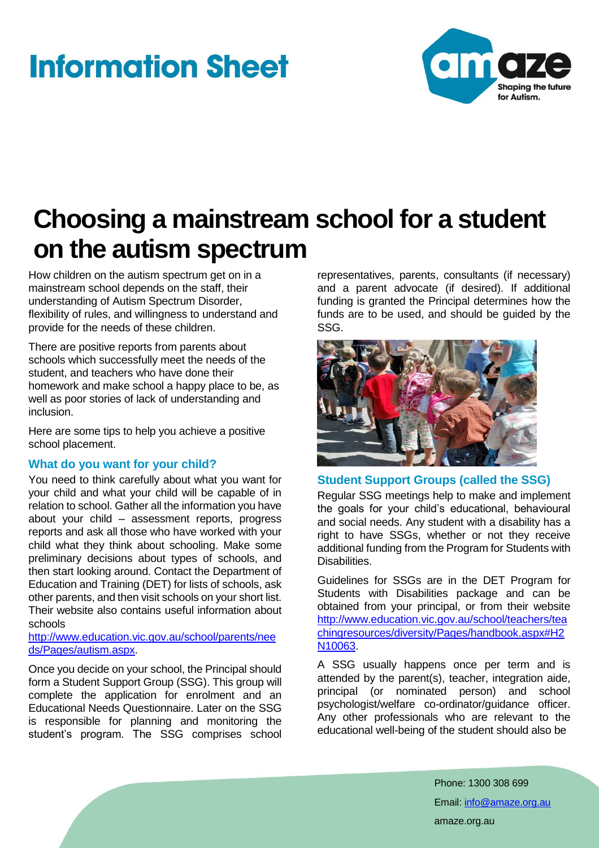# **Information Sheet**



# **Choosing a mainstream school for a student on the autism spectrum**

How children on the autism spectrum get on in a mainstream school depends on the staff, their understanding of Autism Spectrum Disorder, flexibility of rules, and willingness to understand and provide for the needs of these children.

There are positive reports from parents about schools which successfully meet the needs of the student, and teachers who have done their homework and make school a happy place to be, as well as poor stories of lack of understanding and inclusion.

Here are some tips to help you achieve a positive school placement.

## **What do you want for your child?**

You need to think carefully about what you want for your child and what your child will be capable of in relation to school. Gather all the information you have about your child – assessment reports, progress reports and ask all those who have worked with your child what they think about schooling. Make some preliminary decisions about types of schools, and then start looking around. Contact the Department of Education and Training (DET) for lists of schools, ask other parents, and then visit schools on your short list. Their website also contains useful information about schools

[http://www.education.vic.gov.au/school/parents/nee](http://www.education.vic.gov.au/school/parents/needs/Pages/autism.aspx) [ds/Pages/autism.aspx.](http://www.education.vic.gov.au/school/parents/needs/Pages/autism.aspx)

Once you decide on your school, the Principal should form a Student Support Group (SSG). This group will complete the application for enrolment and an Educational Needs Questionnaire. Later on the SSG is responsible for planning and monitoring the student's program. The SSG comprises school

representatives, parents, consultants (if necessary) and a parent advocate (if desired). If additional funding is granted the Principal determines how the funds are to be used, and should be guided by the SSG.



## **Student Support Groups (called the SSG)**

Regular SSG meetings help to make and implement the goals for your child's educational, behavioural and social needs. Any student with a disability has a right to have SSGs, whether or not they receive additional funding from the Program for Students with **Disabilities** 

Guidelines for SSGs are in the DET Program for Students with Disabilities package and can be obtained from your principal, or from their website [http://www.education.vic.gov.au/school/teachers/tea](http://www.education.vic.gov.au/school/teachers/teachingresources/diversity/Pages/handbook.aspx#H2N10063) [chingresources/diversity/Pages/handbook.aspx#H2](http://www.education.vic.gov.au/school/teachers/teachingresources/diversity/Pages/handbook.aspx#H2N10063) [N10063.](http://www.education.vic.gov.au/school/teachers/teachingresources/diversity/Pages/handbook.aspx#H2N10063)

A SSG usually happens once per term and is attended by the parent(s), teacher, integration aide, principal (or nominated person) and school psychologist/welfare co-ordinator/guidance officer. Any other professionals who are relevant to the educational well-being of the student should also be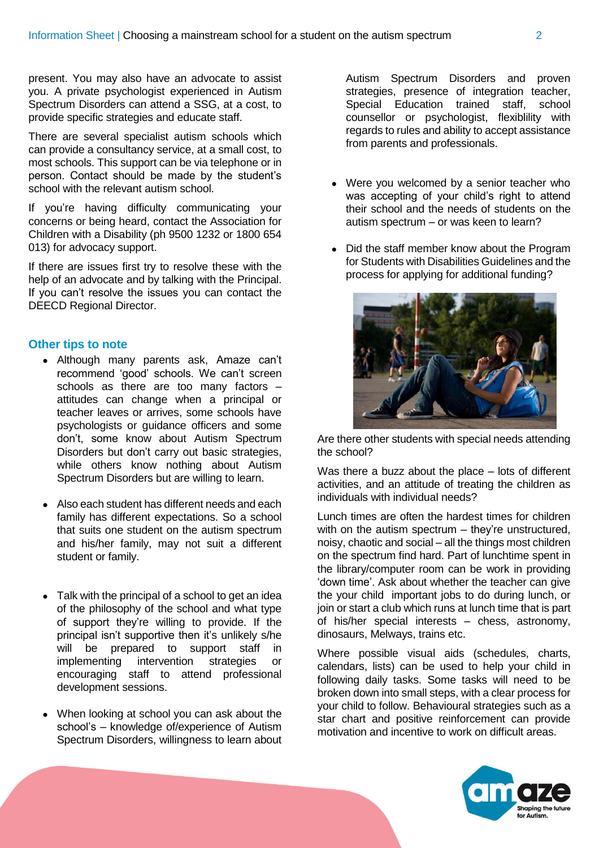present. You may also have an advocate to assist you. A private psychologist experienced in Autism Spectrum Disorders can attend a SSG, at a cost, to provide specific strategies and educate staff.

There are several specialist autism schools which can provide a consultancy service, at a small cost, to most schools. This support can be via telephone or in person. Contact should be made by the student's school with the relevant autism school.

If you're having difficulty communicating your concerns or being heard, contact the Association for Children with a Disability (ph 9500 1232 or 1800 654 013) for advocacy support.

If there are issues first try to resolve these with the help of an advocate and by talking with the Principal. If you can't resolve the issues you can contact the DEECD Regional Director.

#### **Other tips to note**

- Although many parents ask, Amaze can't recommend 'good' schools. We can't screen schools as there are too many factors – attitudes can change when a principal or teacher leaves or arrives, some schools have psychologists or guidance officers and some don't, some know about Autism Spectrum Disorders but don't carry out basic strategies, while others know nothing about Autism Spectrum Disorders but are willing to learn.
- Also each student has different needs and each family has different expectations. So a school that suits one student on the autism spectrum and his/her family, may not suit a different student or family.
- Talk with the principal of a school to get an idea of the philosophy of the school and what type of support they're willing to provide. If the principal isn't supportive then it's unlikely s/he will be prepared to support staff in implementing intervention strategies or encouraging staff to attend professional development sessions.
- When looking at school you can ask about the school's – knowledge of/experience of Autism Spectrum Disorders, willingness to learn about

Autism Spectrum Disorders and proven strategies, presence of integration teacher, Special Education trained staff, school counsellor or psychologist, flexiblility with regards to rules and ability to accept assistance from parents and professionals.

- Were you welcomed by a senior teacher who was accepting of your child's right to attend their school and the needs of students on the autism spectrum – or was keen to learn?
- Did the staff member know about the Program for Students with Disabilities Guidelines and the process for applying for additional funding?



Are there other students with special needs attending the school?

Was there a buzz about the place – lots of different activities, and an attitude of treating the children as individuals with individual needs?

Lunch times are often the hardest times for children with on the autism spectrum – they're unstructured, noisy, chaotic and social – all the things most children on the spectrum find hard. Part of lunchtime spent in the library/computer room can be work in providing 'down time'. Ask about whether the teacher can give the your child important jobs to do during lunch, or join or start a club which runs at lunch time that is part of his/her special interests – chess, astronomy, dinosaurs, Melways, trains etc.

Where possible visual aids (schedules, charts, calendars, lists) can be used to help your child in following daily tasks. Some tasks will need to be broken down into small steps, with a clear process for your child to follow. Behavioural strategies such as a star chart and positive reinforcement can provide motivation and incentive to work on difficult areas.